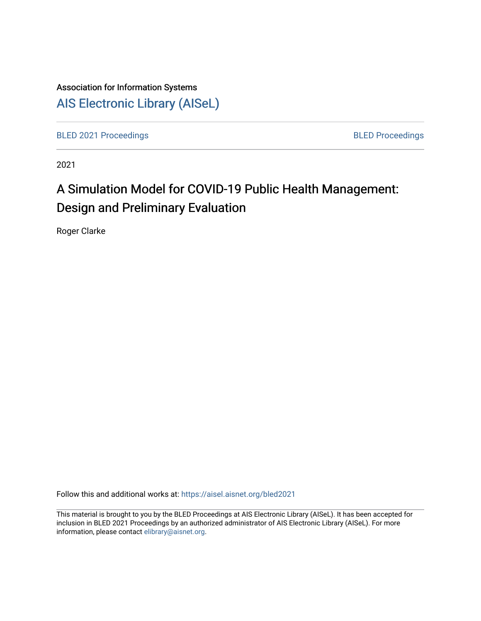# Association for Information Systems [AIS Electronic Library \(AISeL\)](https://aisel.aisnet.org/)

[BLED 2021 Proceedings](https://aisel.aisnet.org/bled2021) **BLED Proceedings** 

2021

# A Simulation Model for COVID-19 Public Health Management: Design and Preliminary Evaluation

Roger Clarke

Follow this and additional works at: [https://aisel.aisnet.org/bled2021](https://aisel.aisnet.org/bled2021?utm_source=aisel.aisnet.org%2Fbled2021%2F18&utm_medium=PDF&utm_campaign=PDFCoverPages) 

This material is brought to you by the BLED Proceedings at AIS Electronic Library (AISeL). It has been accepted for inclusion in BLED 2021 Proceedings by an authorized administrator of AIS Electronic Library (AISeL). For more information, please contact [elibrary@aisnet.org.](mailto:elibrary@aisnet.org%3E)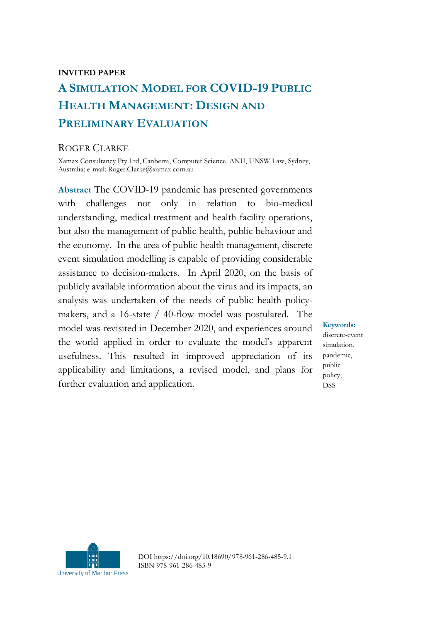#### **INVITED PAPER**

# **A SIMULATION MODEL FOR COVID-19 PUBLIC HEALTH MANAGEMENT: DESIGN AND PRELIMINARY EVALUATION**

#### ROGER CLARKE

Xamax Consultancy Pty Ltd, Canberra, Computer Science, ANU, UNSW Law, Sydney, Australia; e-mail: Roger.Clarke@xamax.com.au

**Abstract** The COVID-19 pandemic has presented governments with challenges not only in relation to bio-medical understanding, medical treatment and health facility operations, but also the management of public health, public behaviour and the economy. In the area of public health management, discrete event simulation modelling is capable of providing considerable assistance to decision-makers. In April 2020, on the basis of publicly available information about the virus and its impacts, an analysis was undertaken of the needs of public health policymakers, and a 16-state / 40-flow model was postulated. The model was revisited in December 2020, and experiences around the world applied in order to evaluate the model's apparent usefulness. This resulted in improved appreciation of its applicability and limitations, a revised model, and plans for further evaluation and application.

**Keywords:**

discrete-event simulation, pandemic, public policy, DSS



DOI https://doi.org/10.18690/978-961-286-485-9.1 ISBN 978-961-286-485-9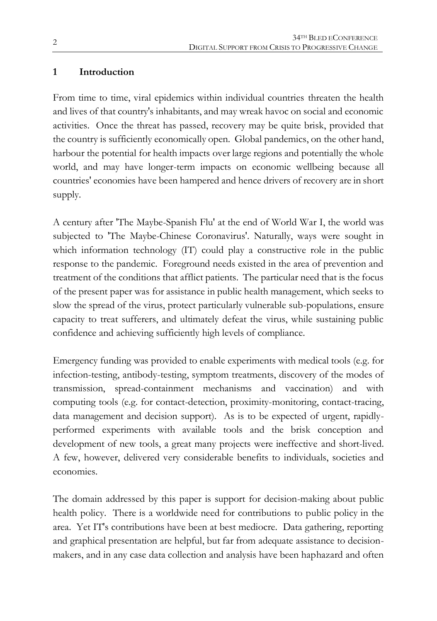#### **1 Introduction**

From time to time, viral epidemics within individual countries threaten the health and lives of that country's inhabitants, and may wreak havoc on social and economic activities. Once the threat has passed, recovery may be quite brisk, provided that the country is sufficiently economically open. Global pandemics, on the other hand, harbour the potential for health impacts over large regions and potentially the whole world, and may have longer-term impacts on economic wellbeing because all countries' economies have been hampered and hence drivers of recovery are in short supply.

A century after 'The Maybe-Spanish Flu' at the end of World War I, the world was subjected to 'The Maybe-Chinese Coronavirus'. Naturally, ways were sought in which information technology (IT) could play a constructive role in the public response to the pandemic. Foreground needs existed in the area of prevention and treatment of the conditions that afflict patients. The particular need that is the focus of the present paper was for assistance in public health management, which seeks to slow the spread of the virus, protect particularly vulnerable sub-populations, ensure capacity to treat sufferers, and ultimately defeat the virus, while sustaining public confidence and achieving sufficiently high levels of compliance.

Emergency funding was provided to enable experiments with medical tools (e.g. for infection-testing, antibody-testing, symptom treatments, discovery of the modes of transmission, spread-containment mechanisms and vaccination) and with computing tools (e.g. for contact-detection, proximity-monitoring, contact-tracing, data management and decision support). As is to be expected of urgent, rapidlyperformed experiments with available tools and the brisk conception and development of new tools, a great many projects were ineffective and short-lived. A few, however, delivered very considerable benefits to individuals, societies and economies.

The domain addressed by this paper is support for decision-making about public health policy. There is a worldwide need for contributions to public policy in the area. Yet IT's contributions have been at best mediocre. Data gathering, reporting and graphical presentation are helpful, but far from adequate assistance to decisionmakers, and in any case data collection and analysis have been haphazard and often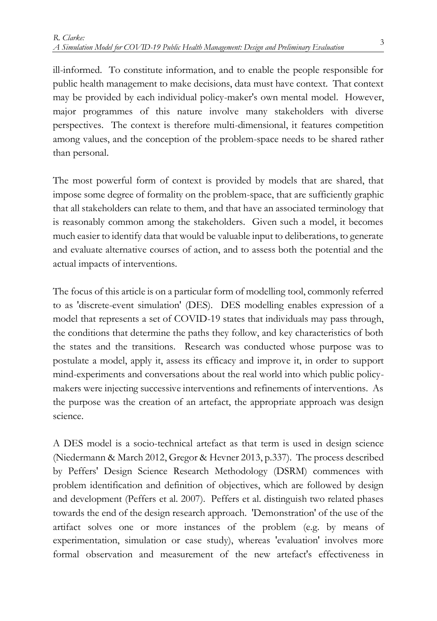ill-informed. To constitute information, and to enable the people responsible for public health management to make decisions, data must have context. That context may be provided by each individual policy-maker's own mental model. However, major programmes of this nature involve many stakeholders with diverse perspectives. The context is therefore multi-dimensional, it features competition among values, and the conception of the problem-space needs to be shared rather than personal.

The most powerful form of context is provided by models that are shared, that impose some degree of formality on the problem-space, that are sufficiently graphic that all stakeholders can relate to them, and that have an associated terminology that is reasonably common among the stakeholders. Given such a model, it becomes much easier to identify data that would be valuable input to deliberations, to generate and evaluate alternative courses of action, and to assess both the potential and the actual impacts of interventions.

The focus of this article is on a particular form of modelling tool, commonly referred to as 'discrete-event simulation' (DES). DES modelling enables expression of a model that represents a set of COVID-19 states that individuals may pass through, the conditions that determine the paths they follow, and key characteristics of both the states and the transitions. Research was conducted whose purpose was to postulate a model, apply it, assess its efficacy and improve it, in order to support mind-experiments and conversations about the real world into which public policymakers were injecting successive interventions and refinements of interventions. As the purpose was the creation of an artefact, the appropriate approach was design science.

A DES model is a socio-technical artefact as that term is used in design science (Niedermann & March 2012, Gregor & Hevner 2013, p.337). The process described by Peffers' Design Science Research Methodology (DSRM) commences with problem identification and definition of objectives, which are followed by design and development (Peffers et al. 2007). Peffers et al. distinguish two related phases towards the end of the design research approach. 'Demonstration' of the use of the artifact solves one or more instances of the problem (e.g. by means of experimentation, simulation or case study), whereas 'evaluation' involves more formal observation and measurement of the new artefact's effectiveness in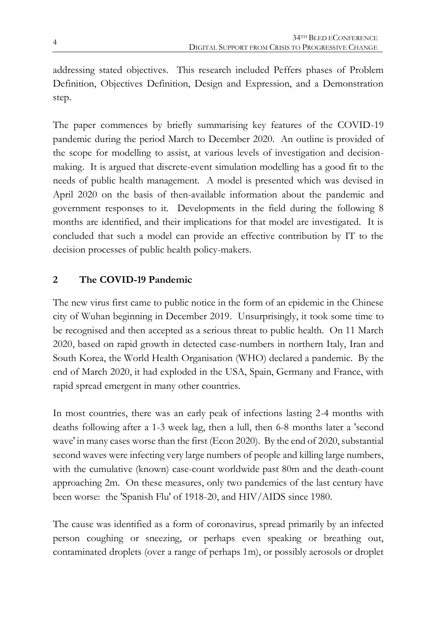addressing stated objectives. This research included Peffers phases of Problem Definition, Objectives Definition, Design and Expression, and a Demonstration step.

The paper commences by briefly summarising key features of the COVID-19 pandemic during the period March to December 2020. An outline is provided of the scope for modelling to assist, at various levels of investigation and decisionmaking. It is argued that discrete-event simulation modelling has a good fit to the needs of public health management. A model is presented which was devised in April 2020 on the basis of then-available information about the pandemic and government responses to it. Developments in the field during the following 8 months are identified, and their implications for that model are investigated. It is concluded that such a model can provide an effective contribution by IT to the decision processes of public health policy-makers.

## **2 The COVID-19 Pandemic**

The new virus first came to public notice in the form of an epidemic in the Chinese city of Wuhan beginning in December 2019. Unsurprisingly, it took some time to be recognised and then accepted as a serious threat to public health. On 11 March 2020, based on rapid growth in detected case-numbers in northern Italy, Iran and South Korea, the World Health Organisation (WHO) declared a pandemic. By the end of March 2020, it had exploded in the USA, Spain, Germany and France, with rapid spread emergent in many other countries.

In most countries, there was an early peak of infections lasting 2-4 months with deaths following after a 1-3 week lag, then a lull, then 6-8 months later a 'second wave' in many cases worse than the first (Econ 2020). By the end of 2020, substantial second waves were infecting very large numbers of people and killing large numbers, with the cumulative (known) case-count worldwide past 80m and the death-count approaching 2m. On these measures, only two pandemics of the last century have been worse: the 'Spanish Flu' of 1918-20, and HIV/AIDS since 1980.

The cause was identified as a form of coronavirus, spread primarily by an infected person coughing or sneezing, or perhaps even speaking or breathing out, contaminated droplets (over a range of perhaps 1m), or possibly aerosols or droplet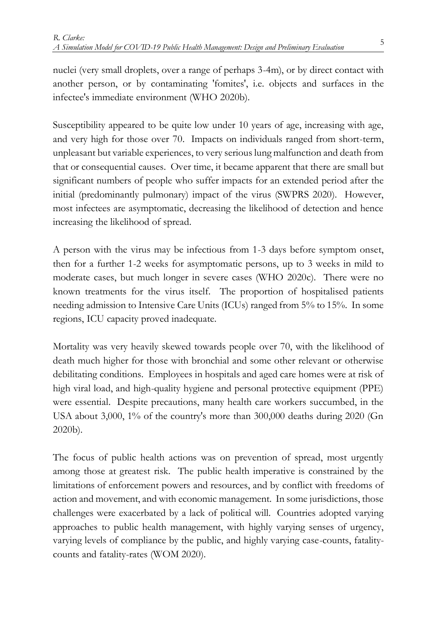nuclei (very small droplets, over a range of perhaps 3-4m), or by direct contact with another person, or by contaminating 'fomites', i.e. objects and surfaces in the infectee's immediate environment (WHO 2020b).

Susceptibility appeared to be quite low under 10 years of age, increasing with age, and very high for those over 70. Impacts on individuals ranged from short-term, unpleasant but variable experiences, to very serious lung malfunction and death from that or consequential causes. Over time, it became apparent that there are small but significant numbers of people who suffer impacts for an extended period after the initial (predominantly pulmonary) impact of the virus (SWPRS 2020). However, most infectees are asymptomatic, decreasing the likelihood of detection and hence increasing the likelihood of spread.

A person with the virus may be infectious from 1-3 days before symptom onset, then for a further 1-2 weeks for asymptomatic persons, up to 3 weeks in mild to moderate cases, but much longer in severe cases (WHO 2020c). There were no known treatments for the virus itself. The proportion of hospitalised patients needing admission to Intensive Care Units (ICUs) ranged from 5% to 15%. In some regions, ICU capacity proved inadequate.

Mortality was very heavily skewed towards people over 70, with the likelihood of death much higher for those with bronchial and some other relevant or otherwise debilitating conditions. Employees in hospitals and aged care homes were at risk of high viral load, and high-quality hygiene and personal protective equipment (PPE) were essential. Despite precautions, many health care workers succumbed, in the USA about 3,000, 1% of the country's more than 300,000 deaths during 2020 (Gn 2020b).

The focus of public health actions was on prevention of spread, most urgently among those at greatest risk. The public health imperative is constrained by the limitations of enforcement powers and resources, and by conflict with freedoms of action and movement, and with economic management. In some jurisdictions, those challenges were exacerbated by a lack of political will. Countries adopted varying approaches to public health management, with highly varying senses of urgency, varying levels of compliance by the public, and highly varying case-counts, fatalitycounts and fatality-rates (WOM 2020).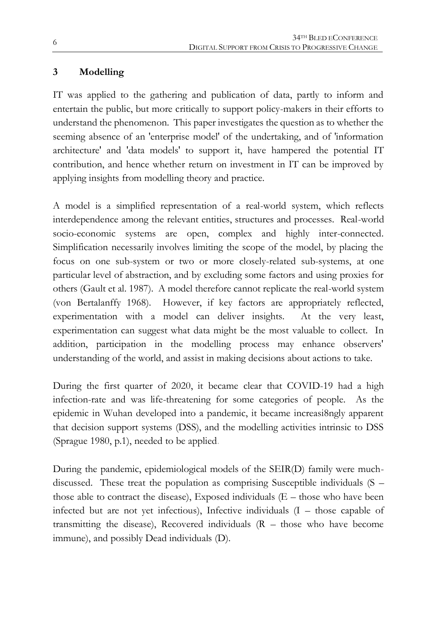#### **3 Modelling**

IT was applied to the gathering and publication of data, partly to inform and entertain the public, but more critically to support policy-makers in their efforts to understand the phenomenon. This paper investigates the question as to whether the seeming absence of an 'enterprise model' of the undertaking, and of 'information architecture' and 'data models' to support it, have hampered the potential IT contribution, and hence whether return on investment in IT can be improved by applying insights from modelling theory and practice.

A model is a simplified representation of a real-world system, which reflects interdependence among the relevant entities, structures and processes. Real-world socio-economic systems are open, complex and highly inter-connected. Simplification necessarily involves limiting the scope of the model, by placing the focus on one sub-system or two or more closely-related sub-systems, at one particular level of abstraction, and by excluding some factors and using proxies for others (Gault et al. 1987). A model therefore cannot replicate the real-world system (von Bertalanffy 1968). However, if key factors are appropriately reflected, experimentation with a model can deliver insights. At the very least, experimentation can suggest what data might be the most valuable to collect. In addition, participation in the modelling process may enhance observers' understanding of the world, and assist in making decisions about actions to take.

During the first quarter of 2020, it became clear that COVID-19 had a high infection-rate and was life-threatening for some categories of people. As the epidemic in Wuhan developed into a pandemic, it became increasi8ngly apparent that decision support systems (DSS), and the modelling activities intrinsic to DSS (Sprague 1980, p.1), needed to be applied.

During the pandemic, epidemiological models of the SEIR(D) family were muchdiscussed. These treat the population as comprising Susceptible individuals (S – those able to contract the disease), Exposed individuals  $(E - those)$  who have been infected but are not yet infectious), Infective individuals (I – those capable of transmitting the disease), Recovered individuals  $(R - those)$  who have become immune), and possibly Dead individuals (D).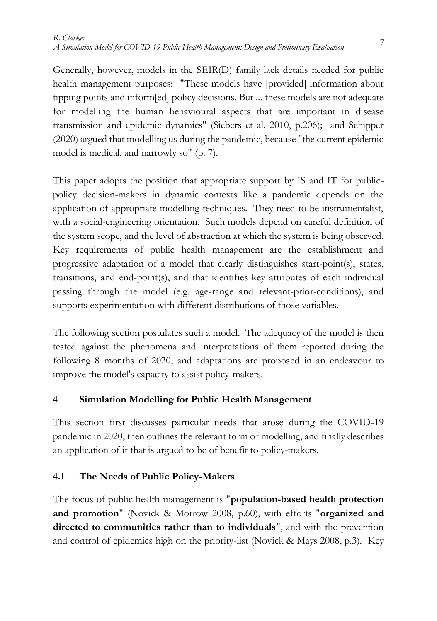Generally, however, models in the SEIR(D) family lack details needed for public health management purposes: "These models have [provided] information about tipping points and inform[ed] policy decisions. But ... these models are not adequate for modelling the human behavioural aspects that are important in disease transmission and epidemic dynamics" (Siebers et al. 2010, p.206); and Schipper (2020) argued that modelling us during the pandemic, because "the current epidemic model is medical, and narrowly so" (p. 7).

This paper adopts the position that appropriate support by IS and IT for publicpolicy decision-makers in dynamic contexts like a pandemic depends on the application of appropriate modelling techniques. They need to be instrumentalist, with a social-engineering orientation. Such models depend on careful definition of the system scope, and the level of abstraction at which the system is being observed. Key requirements of public health management are the establishment and progressive adaptation of a model that clearly distinguishes start-point(s), states, transitions, and end-point(s), and that identifies key attributes of each individual passing through the model (e.g. age-range and relevant-prior-conditions), and supports experimentation with different distributions of those variables.

The following section postulates such a model. The adequacy of the model is then tested against the phenomena and interpretations of them reported during the following 8 months of 2020, and adaptations are proposed in an endeavour to improve the model's capacity to assist policy-makers.

# **4 Simulation Modelling for Public Health Management**

This section first discusses particular needs that arose during the COVID-19 pandemic in 2020, then outlines the relevant form of modelling, and finally describes an application of it that is argued to be of benefit to policy-makers.

#### **4.1 The Needs of Public Policy-Makers**

The focus of public health management is "**population-based health protection and promotion**" (Novick & Morrow 2008, p.60), with efforts "**organized and directed to communities rather than to individuals**", and with the prevention and control of epidemics high on the priority-list (Novick & Mays 2008, p.3). Key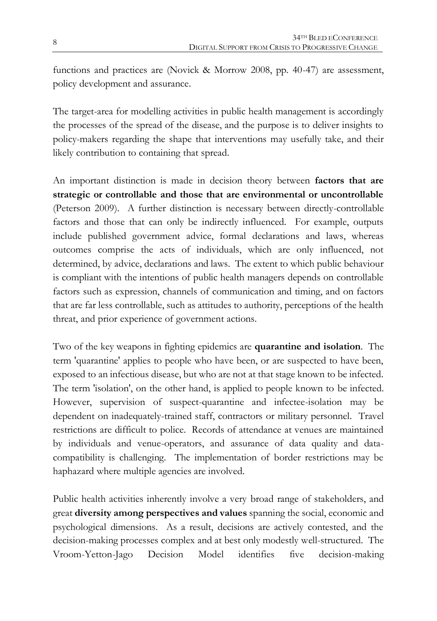functions and practices are (Novick & Morrow 2008, pp. 40-47) are assessment, policy development and assurance.

The target-area for modelling activities in public health management is accordingly the processes of the spread of the disease, and the purpose is to deliver insights to policy-makers regarding the shape that interventions may usefully take, and their likely contribution to containing that spread.

An important distinction is made in decision theory between **factors that are strategic or controllable and those that are environmental or uncontrollable** (Peterson 2009). A further distinction is necessary between directly-controllable factors and those that can only be indirectly influenced. For example, outputs include published government advice, formal declarations and laws, whereas outcomes comprise the acts of individuals, which are only influenced, not determined, by advice, declarations and laws. The extent to which public behaviour is compliant with the intentions of public health managers depends on controllable factors such as expression, channels of communication and timing, and on factors that are far less controllable, such as attitudes to authority, perceptions of the health threat, and prior experience of government actions.

Two of the key weapons in fighting epidemics are **quarantine and isolation**. The term 'quarantine' applies to people who have been, or are suspected to have been, exposed to an infectious disease, but who are not at that stage known to be infected. The term 'isolation', on the other hand, is applied to people known to be infected. However, supervision of suspect-quarantine and infectee-isolation may be dependent on inadequately-trained staff, contractors or military personnel. Travel restrictions are difficult to police. Records of attendance at venues are maintained by individuals and venue-operators, and assurance of data quality and datacompatibility is challenging. The implementation of border restrictions may be haphazard where multiple agencies are involved.

Public health activities inherently involve a very broad range of stakeholders, and great **diversity among perspectives and values** spanning the social, economic and psychological dimensions. As a result, decisions are actively contested, and the decision-making processes complex and at best only modestly well-structured. The Vroom-Yetton-Jago Decision Model identifies five decision-making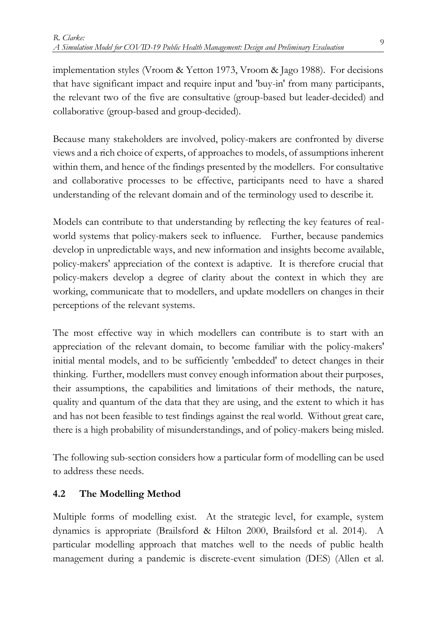implementation styles (Vroom & Yetton 1973, Vroom & Jago 1988). For decisions that have significant impact and require input and 'buy-in' from many participants, the relevant two of the five are consultative (group-based but leader-decided) and collaborative (group-based and group-decided).

Because many stakeholders are involved, policy-makers are confronted by diverse views and a rich choice of experts, of approaches to models, of assumptions inherent within them, and hence of the findings presented by the modellers. For consultative and collaborative processes to be effective, participants need to have a shared understanding of the relevant domain and of the terminology used to describe it.

Models can contribute to that understanding by reflecting the key features of realworld systems that policy-makers seek to influence. Further, because pandemics develop in unpredictable ways, and new information and insights become available, policy-makers' appreciation of the context is adaptive. It is therefore crucial that policy-makers develop a degree of clarity about the context in which they are working, communicate that to modellers, and update modellers on changes in their perceptions of the relevant systems.

The most effective way in which modellers can contribute is to start with an appreciation of the relevant domain, to become familiar with the policy-makers' initial mental models, and to be sufficiently 'embedded' to detect changes in their thinking. Further, modellers must convey enough information about their purposes, their assumptions, the capabilities and limitations of their methods, the nature, quality and quantum of the data that they are using, and the extent to which it has and has not been feasible to test findings against the real world. Without great care, there is a high probability of misunderstandings, and of policy-makers being misled.

The following sub-section considers how a particular form of modelling can be used to address these needs.

# **4.2 The Modelling Method**

Multiple forms of modelling exist. At the strategic level, for example, system dynamics is appropriate (Brailsford & Hilton 2000, Brailsford et al. 2014). A particular modelling approach that matches well to the needs of public health management during a pandemic is discrete-event simulation (DES) (Allen et al.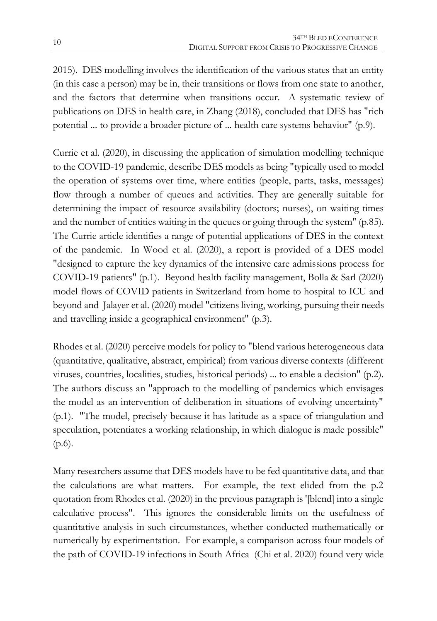2015). DES modelling involves the identification of the various states that an entity (in this case a person) may be in, their transitions or flows from one state to another, and the factors that determine when transitions occur. A systematic review of publications on DES in health care, in Zhang (2018), concluded that DES has "rich potential ... to provide a broader picture of ... health care systems behavior" (p.9).

Currie et al. (2020), in discussing the application of simulation modelling technique to the COVID-19 pandemic, describe DES models as being "typically used to model the operation of systems over time, where entities (people, parts, tasks, messages) flow through a number of queues and activities. They are generally suitable for determining the impact of resource availability (doctors; nurses), on waiting times and the number of entities waiting in the queues or going through the system" (p.85). The Currie article identifies a range of potential applications of DES in the context of the pandemic. In Wood et al. (2020), a report is provided of a DES model "designed to capture the key dynamics of the intensive care admissions process for COVID-19 patients" (p.1). Beyond health facility management, Bolla & Sarl (2020) model flows of COVID patients in Switzerland from home to hospital to ICU and beyond and Jalayer et al. (2020) model "citizens living, working, pursuing their needs and travelling inside a geographical environment" (p.3).

Rhodes et al. (2020) perceive models for policy to "blend various heterogeneous data (quantitative, qualitative, abstract, empirical) from various diverse contexts (different viruses, countries, localities, studies, historical periods) ... to enable a decision" (p.2). The authors discuss an "approach to the modelling of pandemics which envisages the model as an intervention of deliberation in situations of evolving uncertainty" (p.1). "The model, precisely because it has latitude as a space of triangulation and speculation, potentiates a working relationship, in which dialogue is made possible" (p.6).

Many researchers assume that DES models have to be fed quantitative data, and that the calculations are what matters. For example, the text elided from the p.2 quotation from Rhodes et al. (2020) in the previous paragraph is '[blend] into a single calculative process". This ignores the considerable limits on the usefulness of quantitative analysis in such circumstances, whether conducted mathematically or numerically by experimentation. For example, a comparison across four models of the path of COVID-19 infections in South Africa (Chi et al. 2020) found very wide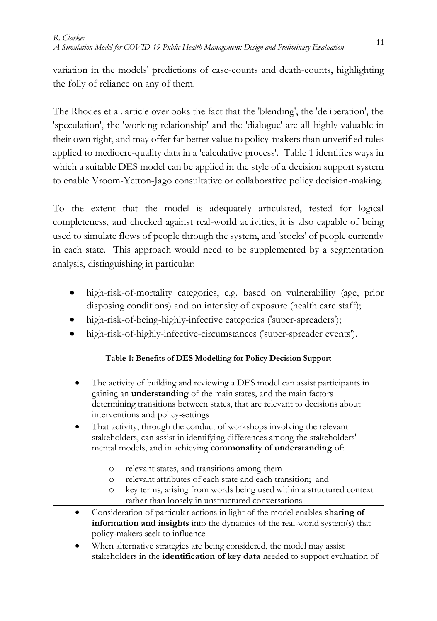variation in the models' predictions of case-counts and death-counts, highlighting the folly of reliance on any of them.

The Rhodes et al. article overlooks the fact that the 'blending', the 'deliberation', the 'speculation', the 'working relationship' and the 'dialogue' are all highly valuable in their own right, and may offer far better value to policy-makers than unverified rules applied to mediocre-quality data in a 'calculative process'. Table 1 identifies ways in which a suitable DES model can be applied in the style of a decision support system to enable Vroom-Yetton-Jago consultative or collaborative policy decision-making.

To the extent that the model is adequately articulated, tested for logical completeness, and checked against real-world activities, it is also capable of being used to simulate flows of people through the system, and 'stocks' of people currently in each state. This approach would need to be supplemented by a segmentation analysis, distinguishing in particular:

- high-risk-of-mortality categories, e.g. based on vulnerability (age, prior disposing conditions) and on intensity of exposure (health care staff);
- high-risk-of-being-highly-infective categories ('super-spreaders');
- high-risk-of-highly-infective-circumstances ('super-spreader events').

#### **Table 1: Benefits of DES Modelling for Policy Decision Support**

| $\bullet$ | The activity of building and reviewing a DES model can assist participants in<br>gaining an <i>understanding</i> of the main states, and the main factors<br>determining transitions between states, that are relevant to decisions about<br>interventions and policy-settings |
|-----------|--------------------------------------------------------------------------------------------------------------------------------------------------------------------------------------------------------------------------------------------------------------------------------|
|           | That activity, through the conduct of workshops involving the relevant<br>stakeholders, can assist in identifying differences among the stakeholders'<br>mental models, and in achieving commonality of understanding of:                                                      |
|           | relevant states, and transitions among them<br>$\circ$<br>relevant attributes of each state and each transition; and<br>$\circ$<br>key terms, arising from words being used within a structured context<br>$\Omega$                                                            |
|           | rather than loosely in unstructured conversations                                                                                                                                                                                                                              |
|           | Consideration of particular actions in light of the model enables sharing of<br>information and insights into the dynamics of the real-world system(s) that<br>policy-makers seek to influence                                                                                 |
|           | When alternative strategies are being considered, the model may assist<br>stakeholders in the identification of key data needed to support evaluation of                                                                                                                       |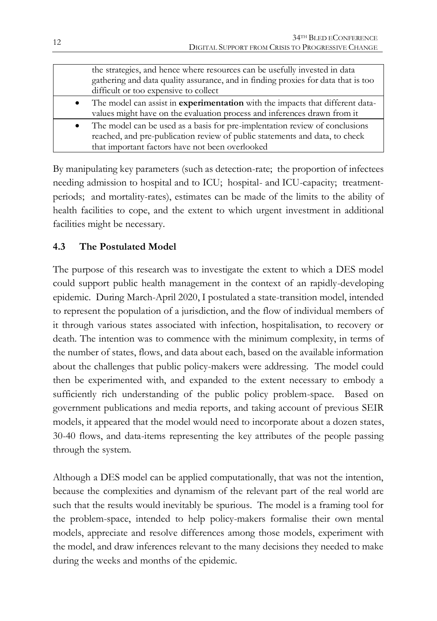|           | the strategies, and hence where resources can be usefully invested in data<br>gathering and data quality assurance, and in finding proxies for data that is too<br>difficult or too expensive to collect      |
|-----------|---------------------------------------------------------------------------------------------------------------------------------------------------------------------------------------------------------------|
| $\bullet$ | The model can assist in experimentation with the impacts that different data-<br>values might have on the evaluation process and inferences drawn from it                                                     |
|           | The model can be used as a basis for pre-implentation review of conclusions<br>reached, and pre-publication review of public statements and data, to check<br>that important factors have not been overlooked |

By manipulating key parameters (such as detection-rate; the proportion of infectees needing admission to hospital and to ICU; hospital- and ICU-capacity; treatmentperiods; and mortality-rates), estimates can be made of the limits to the ability of health facilities to cope, and the extent to which urgent investment in additional facilities might be necessary.

## **4.3 The Postulated Model**

The purpose of this research was to investigate the extent to which a DES model could support public health management in the context of an rapidly-developing epidemic. During March-April 2020, I postulated a state-transition model, intended to represent the population of a jurisdiction, and the flow of individual members of it through various states associated with infection, hospitalisation, to recovery or death. The intention was to commence with the minimum complexity, in terms of the number of states, flows, and data about each, based on the available information about the challenges that public policy-makers were addressing. The model could then be experimented with, and expanded to the extent necessary to embody a sufficiently rich understanding of the public policy problem-space. Based on government publications and media reports, and taking account of previous SEIR models, it appeared that the model would need to incorporate about a dozen states, 30-40 flows, and data-items representing the key attributes of the people passing through the system.

Although a DES model can be applied computationally, that was not the intention, because the complexities and dynamism of the relevant part of the real world are such that the results would inevitably be spurious. The model is a framing tool for the problem-space, intended to help policy-makers formalise their own mental models, appreciate and resolve differences among those models, experiment with the model, and draw inferences relevant to the many decisions they needed to make during the weeks and months of the epidemic.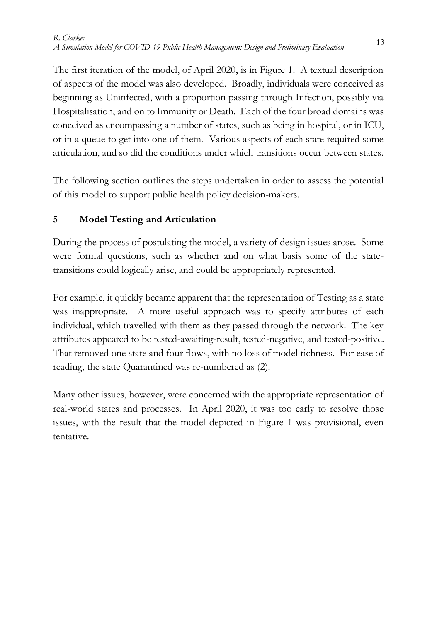The first iteration of the model, of April 2020, is in Figure 1. A textual description of aspects of the model was also developed. Broadly, individuals were conceived as beginning as Uninfected, with a proportion passing through Infection, possibly via Hospitalisation, and on to Immunity or Death. Each of the four broad domains was conceived as encompassing a number of states, such as being in hospital, or in ICU, or in a queue to get into one of them. Various aspects of each state required some articulation, and so did the conditions under which transitions occur between states.

The following section outlines the steps undertaken in order to assess the potential of this model to support public health policy decision-makers.

#### **5 Model Testing and Articulation**

During the process of postulating the model, a variety of design issues arose. Some were formal questions, such as whether and on what basis some of the statetransitions could logically arise, and could be appropriately represented.

For example, it quickly became apparent that the representation of Testing as a state was inappropriate. A more useful approach was to specify attributes of each individual, which travelled with them as they passed through the network. The key attributes appeared to be tested-awaiting-result, tested-negative, and tested-positive. That removed one state and four flows, with no loss of model richness. For ease of reading, the state Quarantined was re-numbered as (2).

Many other issues, however, were concerned with the appropriate representation of real-world states and processes. In April 2020, it was too early to resolve those issues, with the result that the model depicted in Figure 1 was provisional, even tentative.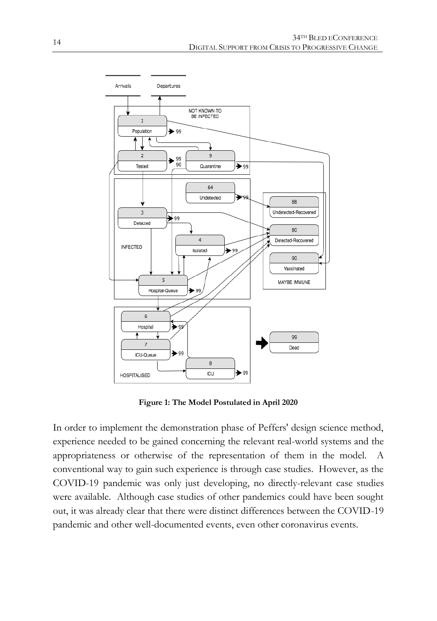

**Figure 1: The Model Postulated in April 2020**

In order to implement the demonstration phase of Peffers' design science method, experience needed to be gained concerning the relevant real-world systems and the appropriateness or otherwise of the representation of them in the model. A conventional way to gain such experience is through case studies. However, as the COVID-19 pandemic was only just developing, no directly-relevant case studies were available. Although case studies of other pandemics could have been sought out, it was already clear that there were distinct differences between the COVID-19 pandemic and other well-documented events, even other coronavirus events.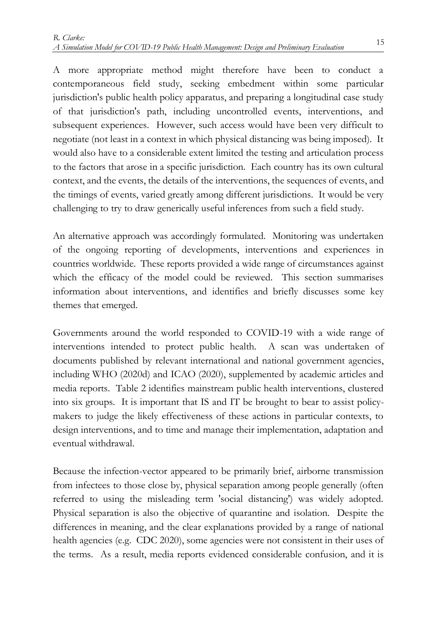A more appropriate method might therefore have been to conduct a contemporaneous field study, seeking embedment within some particular jurisdiction's public health policy apparatus, and preparing a longitudinal case study of that jurisdiction's path, including uncontrolled events, interventions, and subsequent experiences. However, such access would have been very difficult to negotiate (not least in a context in which physical distancing was being imposed). It would also have to a considerable extent limited the testing and articulation process to the factors that arose in a specific jurisdiction. Each country has its own cultural context, and the events, the details of the interventions, the sequences of events, and the timings of events, varied greatly among different jurisdictions. It would be very challenging to try to draw generically useful inferences from such a field study.

An alternative approach was accordingly formulated. Monitoring was undertaken of the ongoing reporting of developments, interventions and experiences in countries worldwide. These reports provided a wide range of circumstances against which the efficacy of the model could be reviewed. This section summarises information about interventions, and identifies and briefly discusses some key themes that emerged.

Governments around the world responded to COVID-19 with a wide range of interventions intended to protect public health. A scan was undertaken of documents published by relevant international and national government agencies, including WHO (2020d) and ICAO (2020), supplemented by academic articles and media reports. Table 2 identifies mainstream public health interventions, clustered into six groups. It is important that IS and IT be brought to bear to assist policymakers to judge the likely effectiveness of these actions in particular contexts, to design interventions, and to time and manage their implementation, adaptation and eventual withdrawal.

Because the infection-vector appeared to be primarily brief, airborne transmission from infectees to those close by, physical separation among people generally (often referred to using the misleading term 'social distancing') was widely adopted. Physical separation is also the objective of quarantine and isolation. Despite the differences in meaning, and the clear explanations provided by a range of national health agencies (e.g. CDC 2020), some agencies were not consistent in their uses of the terms. As a result, media reports evidenced considerable confusion, and it is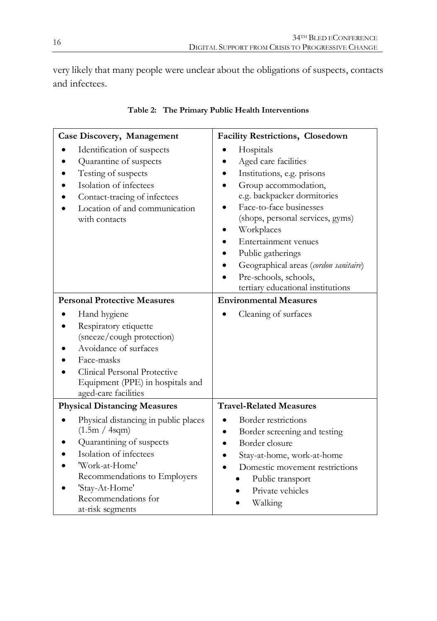very likely that many people were unclear about the obligations of suspects, contacts and infectees.

| Case Discovery, Management                                                                                                                                                                                                 | <b>Facility Restrictions, Closedown</b>                                                                                                                                                                                                                                                                                                                 |  |
|----------------------------------------------------------------------------------------------------------------------------------------------------------------------------------------------------------------------------|---------------------------------------------------------------------------------------------------------------------------------------------------------------------------------------------------------------------------------------------------------------------------------------------------------------------------------------------------------|--|
| Identification of suspects<br>Quarantine of suspects<br>Testing of suspects<br>Isolation of infectees<br>Contact-tracing of infectees<br>Location of and communication<br>with contacts                                    | Hospitals<br>Aged care facilities<br>Institutions, e.g. prisons<br>Group accommodation,<br>e.g. backpacker dormitories<br>Face-to-face businesses<br>(shops, personal services, gyms)<br>Workplaces<br>Entertainment venues<br>Public gatherings<br>Geographical areas (cordon sanitaire)<br>Pre-schools, schools,<br>tertiary educational institutions |  |
| <b>Personal Protective Measures</b>                                                                                                                                                                                        | <b>Environmental Measures</b>                                                                                                                                                                                                                                                                                                                           |  |
| Hand hygiene<br>Respiratory etiquette<br>(sneeze/cough protection)<br>Avoidance of surfaces<br>Face-masks<br>Clinical Personal Protective<br>Equipment (PPE) in hospitals and<br>aged-care facilities                      | Cleaning of surfaces                                                                                                                                                                                                                                                                                                                                    |  |
| <b>Physical Distancing Measures</b>                                                                                                                                                                                        | <b>Travel-Related Measures</b>                                                                                                                                                                                                                                                                                                                          |  |
| Physical distancing in public places<br>(1.5m / 4sqm)<br>Quarantining of suspects<br>Isolation of infectees<br>'Work-at-Home'<br>Recommendations to Employers<br>'Stay-At-Home'<br>Recommendations for<br>at-risk segments | Border restrictions<br>Border screening and testing<br>٠<br>Border closure<br>Stay-at-home, work-at-home<br>Domestic movement restrictions<br>Public transport<br>Private vehicles<br>Walking                                                                                                                                                           |  |

|  | Table 2: The Primary Public Health Interventions |  |
|--|--------------------------------------------------|--|
|  |                                                  |  |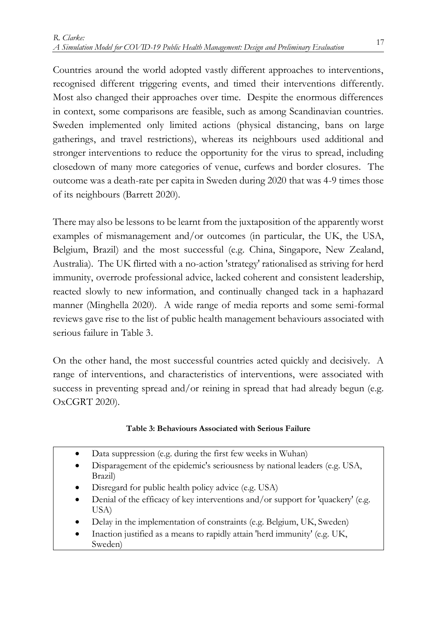Countries around the world adopted vastly different approaches to interventions, recognised different triggering events, and timed their interventions differently. Most also changed their approaches over time. Despite the enormous differences in context, some comparisons are feasible, such as among Scandinavian countries. Sweden implemented only limited actions (physical distancing, bans on large gatherings, and travel restrictions), whereas its neighbours used additional and stronger interventions to reduce the opportunity for the virus to spread, including closedown of many more categories of venue, curfews and border closures. The outcome was a death-rate per capita in Sweden during 2020 that was 4-9 times those of its neighbours (Barrett 2020).

There may also be lessons to be learnt from the juxtaposition of the apparently worst examples of mismanagement and/or outcomes (in particular, the UK, the USA, Belgium, Brazil) and the most successful (e.g. China, Singapore, New Zealand, Australia). The UK flirted with a no-action 'strategy' rationalised as striving for herd immunity, overrode professional advice, lacked coherent and consistent leadership, reacted slowly to new information, and continually changed tack in a haphazard manner (Minghella 2020). A wide range of media reports and some semi-formal reviews gave rise to the list of public health management behaviours associated with serious failure in Table 3.

On the other hand, the most successful countries acted quickly and decisively. A range of interventions, and characteristics of interventions, were associated with success in preventing spread and/or reining in spread that had already begun (e.g. OxCGRT 2020).

#### **Table 3: Behaviours Associated with Serious Failure**

- Data suppression (e.g. during the first few weeks in Wuhan)
- Disparagement of the epidemic's seriousness by national leaders (e.g. USA, Brazil)
- Disregard for public health policy advice (e.g. USA)
- Denial of the efficacy of key interventions and/or support for 'quackery' (e.g. USA)
- Delay in the implementation of constraints (e.g. Belgium, UK, Sweden)
- Inaction justified as a means to rapidly attain 'herd immunity' (e.g. UK, Sweden)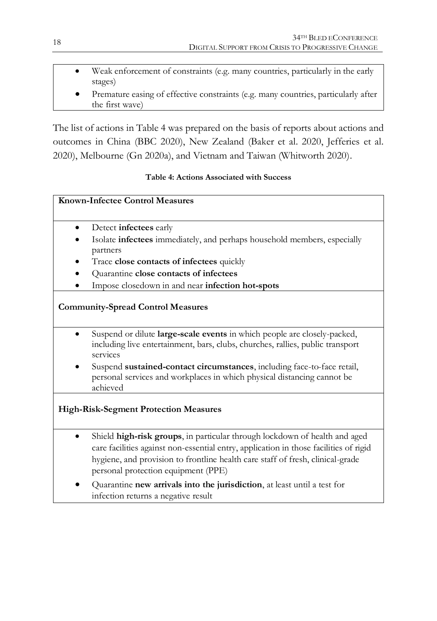- Weak enforcement of constraints (e.g. many countries, particularly in the early stages)
- Premature easing of effective constraints (e.g. many countries, particularly after the first wave)

The list of actions in Table 4 was prepared on the basis of reports about actions and outcomes in China (BBC 2020), New Zealand (Baker et al. 2020, Jefferies et al. 2020), Melbourne (Gn 2020a), and Vietnam and Taiwan (Whitworth 2020).

#### **Table 4: Actions Associated with Success**

| <b>Known-Infectee Control Measures</b> |                                                                                                                                                                               |  |
|----------------------------------------|-------------------------------------------------------------------------------------------------------------------------------------------------------------------------------|--|
|                                        | Detect <b>infectees</b> early                                                                                                                                                 |  |
|                                        | Isolate <b>infectees</b> immediately, and perhaps household members, especially<br>partners                                                                                   |  |
|                                        | Trace close contacts of infectees quickly                                                                                                                                     |  |
|                                        | Quarantine close contacts of infectees                                                                                                                                        |  |
|                                        | Impose closedown in and near <b>infection hot-spots</b>                                                                                                                       |  |
|                                        | <b>Community-Spread Control Measures</b>                                                                                                                                      |  |
|                                        | Suspend or dilute <b>large-scale events</b> in which people are closely-packed,<br>including live entertainment, bars, clubs, churches, rallies, public transport<br>services |  |
|                                        | Suspend sustained-contact circumstances, including face-to-face retail,<br>personal services and workplaces in which physical distancing cannot be<br>achieved                |  |
|                                        | <b>High-Risk-Segment Protection Measures</b>                                                                                                                                  |  |

- Shield **high-risk groups**, in particular through lockdown of health and aged care facilities against non-essential entry, application in those facilities of rigid hygiene, and provision to frontline health care staff of fresh, clinical-grade personal protection equipment (PPE)
- Quarantine **new arrivals into the jurisdiction**, at least until a test for infection returns a negative result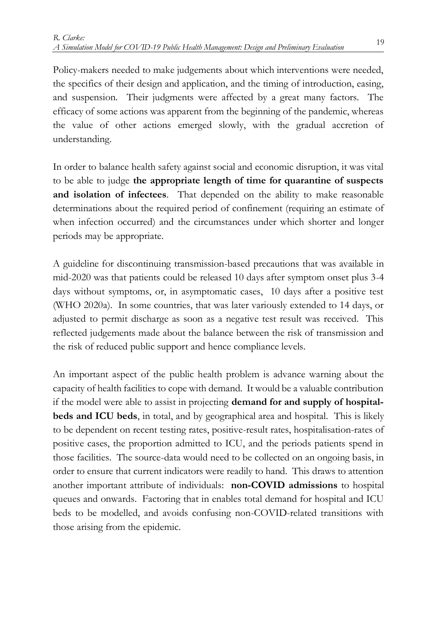Policy-makers needed to make judgements about which interventions were needed, the specifics of their design and application, and the timing of introduction, easing, and suspension. Their judgments were affected by a great many factors. The efficacy of some actions was apparent from the beginning of the pandemic, whereas the value of other actions emerged slowly, with the gradual accretion of understanding.

In order to balance health safety against social and economic disruption, it was vital to be able to judge **the appropriate length of time for quarantine of suspects and isolation of infectees**. That depended on the ability to make reasonable determinations about the required period of confinement (requiring an estimate of when infection occurred) and the circumstances under which shorter and longer periods may be appropriate.

A guideline for discontinuing transmission-based precautions that was available in mid-2020 was that patients could be released 10 days after symptom onset plus 3-4 days without symptoms, or, in asymptomatic cases, 10 days after a positive test (WHO 2020a). In some countries, that was later variously extended to 14 days, or adjusted to permit discharge as soon as a negative test result was received. This reflected judgements made about the balance between the risk of transmission and the risk of reduced public support and hence compliance levels.

An important aspect of the public health problem is advance warning about the capacity of health facilities to cope with demand. It would be a valuable contribution if the model were able to assist in projecting **demand for and supply of hospitalbeds and ICU beds**, in total, and by geographical area and hospital. This is likely to be dependent on recent testing rates, positive-result rates, hospitalisation-rates of positive cases, the proportion admitted to ICU, and the periods patients spend in those facilities. The source-data would need to be collected on an ongoing basis, in order to ensure that current indicators were readily to hand. This draws to attention another important attribute of individuals: **non-COVID admissions** to hospital queues and onwards. Factoring that in enables total demand for hospital and ICU beds to be modelled, and avoids confusing non-COVID-related transitions with those arising from the epidemic.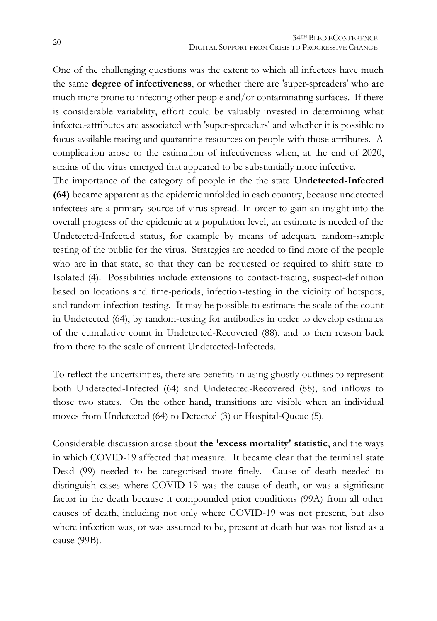One of the challenging questions was the extent to which all infectees have much the same **degree of infectiveness**, or whether there are 'super-spreaders' who are much more prone to infecting other people and/or contaminating surfaces. If there is considerable variability, effort could be valuably invested in determining what infectee-attributes are associated with 'super-spreaders' and whether it is possible to focus available tracing and quarantine resources on people with those attributes. A complication arose to the estimation of infectiveness when, at the end of 2020, strains of the virus emerged that appeared to be substantially more infective.

The importance of the category of people in the the state **Undetected-Infected (64)** became apparent as the epidemic unfolded in each country, because undetected infectees are a primary source of virus-spread. In order to gain an insight into the overall progress of the epidemic at a population level, an estimate is needed of the Undetected-Infected status, for example by means of adequate random-sample testing of the public for the virus. Strategies are needed to find more of the people who are in that state, so that they can be requested or required to shift state to Isolated (4). Possibilities include extensions to contact-tracing, suspect-definition based on locations and time-periods, infection-testing in the vicinity of hotspots, and random infection-testing. It may be possible to estimate the scale of the count in Undetected (64), by random-testing for antibodies in order to develop estimates of the cumulative count in Undetected-Recovered (88), and to then reason back from there to the scale of current Undetected-Infecteds.

To reflect the uncertainties, there are benefits in using ghostly outlines to represent both Undetected-Infected (64) and Undetected-Recovered (88), and inflows to those two states. On the other hand, transitions are visible when an individual moves from Undetected (64) to Detected (3) or Hospital-Queue (5).

Considerable discussion arose about **the 'excess mortality' statistic**, and the ways in which COVID-19 affected that measure. It became clear that the terminal state Dead (99) needed to be categorised more finely. Cause of death needed to distinguish cases where COVID-19 was the cause of death, or was a significant factor in the death because it compounded prior conditions (99A) from all other causes of death, including not only where COVID-19 was not present, but also where infection was, or was assumed to be, present at death but was not listed as a cause (99B).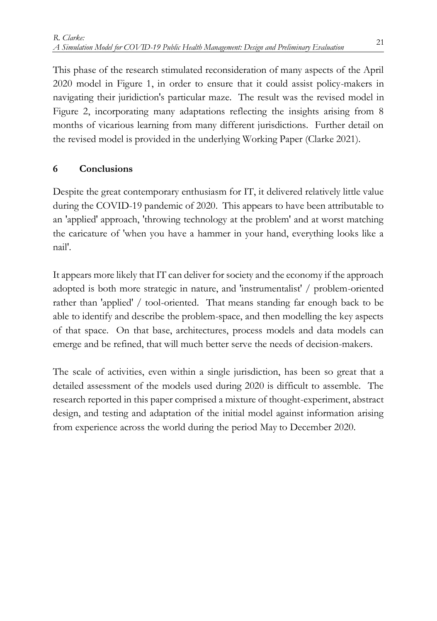This phase of the research stimulated reconsideration of many aspects of the April 2020 model in Figure 1, in order to ensure that it could assist policy-makers in navigating their juridiction's particular maze. The result was the revised model in Figure 2, incorporating many adaptations reflecting the insights arising from 8 months of vicarious learning from many different jurisdictions. Further detail on the revised model is provided in the underlying Working Paper (Clarke 2021).

## **6 Conclusions**

Despite the great contemporary enthusiasm for IT, it delivered relatively little value during the COVID-19 pandemic of 2020. This appears to have been attributable to an 'applied' approach, 'throwing technology at the problem' and at worst matching the caricature of 'when you have a hammer in your hand, everything looks like a nail'.

It appears more likely that IT can deliver for society and the economy if the approach adopted is both more strategic in nature, and 'instrumentalist' / problem-oriented rather than 'applied' / tool-oriented. That means standing far enough back to be able to identify and describe the problem-space, and then modelling the key aspects of that space. On that base, architectures, process models and data models can emerge and be refined, that will much better serve the needs of decision-makers.

The scale of activities, even within a single jurisdiction, has been so great that a detailed assessment of the models used during 2020 is difficult to assemble. The research reported in this paper comprised a mixture of thought-experiment, abstract design, and testing and adaptation of the initial model against information arising from experience across the world during the period May to December 2020.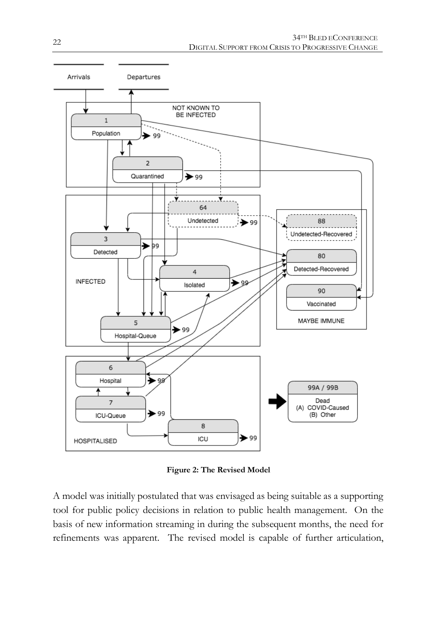

**Figure 2: The Revised Model**

A model was initially postulated that was envisaged as being suitable as a supporting tool for public policy decisions in relation to public health management. On the basis of new information streaming in during the subsequent months, the need for refinements was apparent. The revised model is capable of further articulation,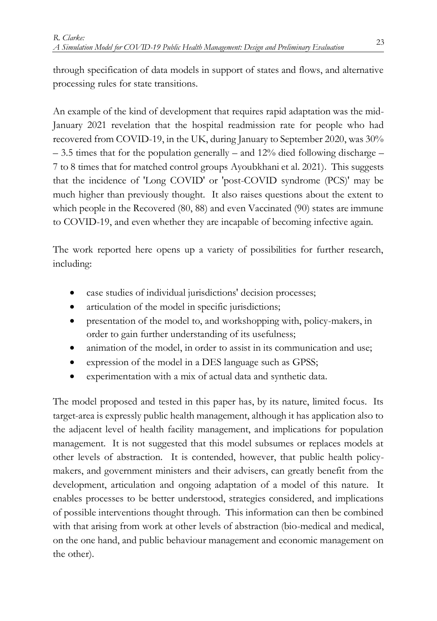through specification of data models in support of states and flows, and alternative processing rules for state transitions.

An example of the kind of development that requires rapid adaptation was the mid-January 2021 revelation that the hospital readmission rate for people who had recovered from COVID-19, in the UK, during January to September 2020, was 30%  $-3.5$  times that for the population generally – and  $12\%$  died following discharge – 7 to 8 times that for matched control groups Ayoubkhani et al. 2021). This suggests that the incidence of 'Long COVID' or 'post-COVID syndrome (PCS)' may be much higher than previously thought. It also raises questions about the extent to which people in the Recovered (80, 88) and even Vaccinated (90) states are immune to COVID-19, and even whether they are incapable of becoming infective again.

The work reported here opens up a variety of possibilities for further research, including:

- case studies of individual jurisdictions' decision processes;
- articulation of the model in specific jurisdictions;
- presentation of the model to, and workshopping with, policy-makers, in order to gain further understanding of its usefulness;
- animation of the model, in order to assist in its communication and use;
- expression of the model in a DES language such as GPSS;
- experimentation with a mix of actual data and synthetic data.

The model proposed and tested in this paper has, by its nature, limited focus. Its target-area is expressly public health management, although it has application also to the adjacent level of health facility management, and implications for population management. It is not suggested that this model subsumes or replaces models at other levels of abstraction. It is contended, however, that public health policymakers, and government ministers and their advisers, can greatly benefit from the development, articulation and ongoing adaptation of a model of this nature. It enables processes to be better understood, strategies considered, and implications of possible interventions thought through. This information can then be combined with that arising from work at other levels of abstraction (bio-medical and medical, on the one hand, and public behaviour management and economic management on the other).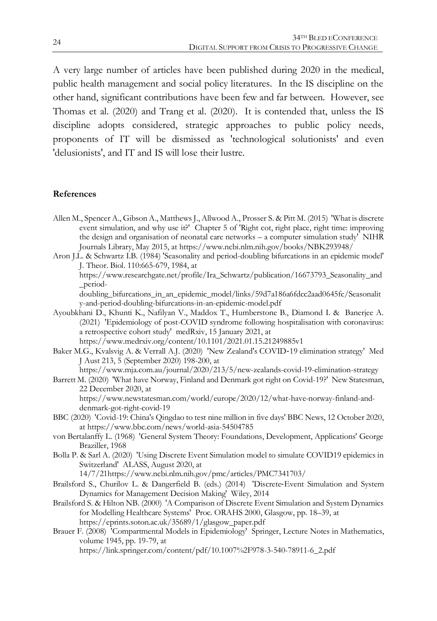A very large number of articles have been published during 2020 in the medical, public health management and social policy literatures. In the IS discipline on the other hand, significant contributions have been few and far between. However, see Thomas et al. (2020) and Trang et al. (2020). It is contended that, unless the IS discipline adopts considered, strategic approaches to public policy needs, proponents of IT will be dismissed as 'technological solutionists' and even 'delusionists', and IT and IS will lose their lustre.

#### **References**

- Allen M., Spencer A., Gibson A., Matthews J., Allwood A., Prosser S. & Pitt M. (2015) 'What is discrete event simulation, and why use it?' Chapter 5 of 'Right cot, right place, right time: improving the design and organisation of neonatal care networks – a computer simulation study' NIHR Journals Library, May 2015, at https://www.ncbi.nlm.nih.gov/books/NBK293948/
- Aron J.L. & Schwartz I.B. (1984) 'Seasonality and period-doubling bifurcations in an epidemic model' J. Theor. Biol. 110:665-679, 1984, at https://www.researchgate.net/profile/Ira\_Schwartz/publication/16673793\_Seasonality\_and \_period-

doubling\_bifurcations\_in\_an\_epidemic\_model/links/59d7a186a6fdcc2aad0645fc/Seasonalit y-and-period-doubling-bifurcations-in-an-epidemic-model.pdf

- Ayoubkhani D., Khunti K., Nafilyan V., Maddox T., Humberstone B., Diamond I. & Banerjee A. (2021) 'Epidemiology of post-COVID syndrome following hospitalisation with coronavirus: a retrospective cohort study' medRxiv, 15 January 2021, at https://www.medrxiv.org/content/10.1101/2021.01.15.21249885v1
- Baker M.G., Kvalsvig A. & Verrall A.J. (2020) 'New Zealand's COVID‐19 elimination strategy' Med J Aust 213, 5 (September 2020) 198-200, at

https://www.mja.com.au/journal/2020/213/5/new-zealands-covid-19-elimination-strategy

Barrett M. (2020) 'What have Norway, Finland and Denmark got right on Covid-19?' New Statesman, 22 December 2020, at

https://www.newstatesman.com/world/europe/2020/12/what-have-norway-finland-anddenmark-got-right-covid-19

- BBC (2020) 'Covid-19: China's Qingdao to test nine million in five days' BBC News, 12 October 2020, at https://www.bbc.com/news/world-asia-54504785
- von Bertalanffy L. (1968) 'General System Theory: Foundations, Development, Applications' George Braziller, 1968
- Bolla P. & Sarl A. (2020) 'Using Discrete Event Simulation model to simulate COVID19 epidemics in Switzerland' ALASS, August 2020, at

14/7/21https://www.ncbi.nlm.nih.gov/pmc/articles/PMC7341703/

- Brailsford S., Churilov L. & Dangerfield B. (eds.) (2014) 'Discrete‐Event Simulation and System Dynamics for Management Decision Making' Wiley, 2014
- Brailsford S. & Hilton NB. (2000) 'A Comparison of Discrete Event Simulation and System Dynamics for Modelling Healthcare Systems' Proc. ORAHS 2000, Glasgow, pp. 18–39, at https://eprints.soton.ac.uk/35689/1/glasgow\_paper.pdf
- Brauer F. (2008) 'Compartmental Models in Epidemiology' Springer, Lecture Notes in Mathematics, volume 1945, pp. 19-79, at

https://link.springer.com/content/pdf/10.1007%2F978-3-540-78911-6\_2.pdf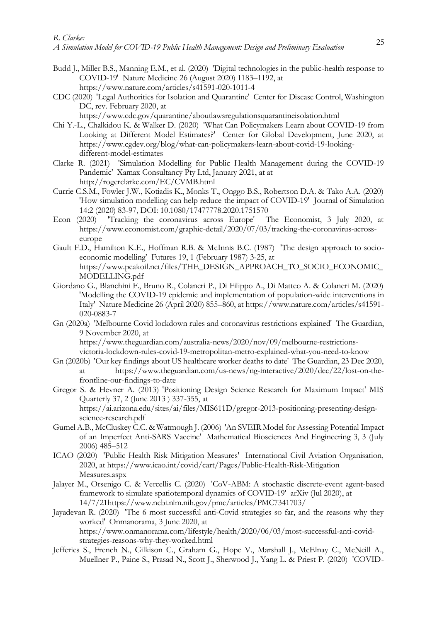- Budd J., Miller B.S., Manning E.M., et al. (2020) 'Digital technologies in the public-health response to COVID-19' Nature Medicine 26 (August 2020) 1183–1192, at https://www.nature.com/articles/s41591-020-1011-4
- CDC (2020) 'Legal Authorities for Isolation and Quarantine' Center for Disease Control, Washington DC, rev. February 2020, at

https://www.cdc.gov/quarantine/aboutlawsregulationsquarantineisolation.html

- Chi Y.-L., Chalkidou K. & Walker D. (2020) 'What Can Policymakers Learn about COVID-19 from Looking at Different Model Estimates?' Center for Global Development, June 2020, at https://www.cgdev.org/blog/what-can-policymakers-learn-about-covid-19-lookingdifferent-model-estimates
- Clarke R. (2021) 'Simulation Modelling for Public Health Management during the COVID-19 Pandemic' Xamax Consultancy Pty Ltd, January 2021, at at http://rogerclarke.com/EC/CVMB.html
- Currie C.S.M., Fowler J.W., Kotiadis K., Monks T., Onggo B.S., Robertson D.A. & Tako A.A. (2020) 'How simulation modelling can help reduce the impact of COVID-19' Journal of Simulation 14:2 (2020) 83-97, DOI: 10.1080/17477778.2020.1751570
- Econ (2020) 'Tracking the coronavirus across Europe' The Economist, 3 July 2020, at https://www.economist.com/graphic-detail/2020/07/03/tracking-the-coronavirus-acrosseurope
- Gault F.D., Hamilton K.E., Hoffman R.B. & McInnis B.C. (1987) 'The design approach to socioeconomic modelling' Futures 19, 1 (February 1987) 3-25, at https://www.peakoil.net/files/THE\_DESIGN\_APPROACH\_TO\_SOCIO\_ECONOMIC\_ MODELLING.pdf
- Giordano G., Blanchini F., Bruno R., Colaneri P., Di Filippo A., Di Matteo A. & Colaneri M. (2020) 'Modelling the COVID-19 epidemic and implementation of population-wide interventions in Italy' Nature Medicine 26 (April 2020) 855–860, at https://www.nature.com/articles/s41591- 020-0883-7
- Gn (2020a) 'Melbourne Covid lockdown rules and coronavirus restrictions explained' The Guardian, 9 November 2020, at

https://www.theguardian.com/australia-news/2020/nov/09/melbourne-restrictionsvictoria-lockdown-rules-covid-19-metropolitan-metro-explained-what-you-need-to-know

- Gn (2020b) 'Our key findings about US healthcare worker deaths to date' The Guardian, 23 Dec 2020, https://www.theguardian.com/us-news/ng-interactive/2020/dec/22/lost-on-thefrontline-our-findings-to-date
- Gregor S. & Hevner A. (2013) 'Positioning Design Science Research for Maximum Impact' MIS Quarterly 37, 2 (June 2013 ) 337-355, at https://ai.arizona.edu/sites/ai/files/MIS611D/gregor-2013-positioning-presenting-designscience-research.pdf
- Gumel A.B., McCluskey C.C. & Watmough J. (2006) 'An SVEIR Model for Assessing Potential Impact of an Imperfect Anti-SARS Vaccine' Mathematical Biosciences And Engineering 3, 3 (July 2006) 485–512
- ICAO (2020) 'Public Health Risk Mitigation Measures' International Civil Aviation Organisation, 2020, at https://www.icao.int/covid/cart/Pages/Public-Health-Risk-Mitigation Measures.aspx
- Jalayer M., Orsenigo C. & Vercellis C. (2020) 'CoV-ABM: A stochastic discrete-event agent-based framework to simulate spatiotemporal dynamics of COVID-19' arXiv (Jul 2020), at 14/7/21https://www.ncbi.nlm.nih.gov/pmc/articles/PMC7341703/
- Jayadevan R. (2020) 'The 6 most successful anti-Covid strategies so far, and the reasons why they worked' Onmanorama, 3 June 2020, at https://www.onmanorama.com/lifestyle/health/2020/06/03/most-successful-anti-covidstrategies-reasons-why-they-worked.html
- Jefferies S., French N., Gilkison C., Graham G., Hope V., Marshall J., McElnay C., McNeill A., Muellner P., Paine S., Prasad N., Scott J., Sherwood J., Yang L. & Priest P. (2020) 'COVID-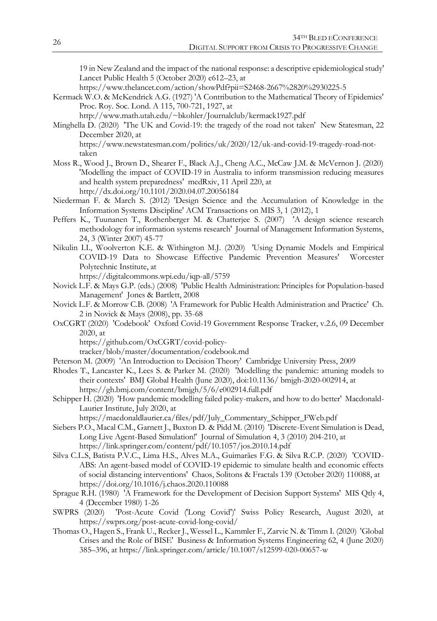19 in New Zealand and the impact of the national response: a descriptive epidemiological study' Lancet Public Health 5 (October 2020) e612–23, at

https://www.thelancet.com/action/showPdf?pii=S2468-2667%2820%2930225-5

Kermack W.O. & McKendrick A.G. (1927) 'A Contribution to the Mathematical Theory of Epidemics' Proc. Roy. Soc. Lond. A 115, 700-721, 1927, at

http://www.math.utah.edu/~bkohler/Journalclub/kermack1927.pdf

Minghella D. (2020) 'The UK and Covid-19: the tragedy of the road not taken' New Statesman, 22 December 2020, at

https://www.newstatesman.com/politics/uk/2020/12/uk-and-covid-19-tragedy-road-nottaken

- Moss R., Wood J., Brown D., Shearer F., Black A.J., Cheng A.C., McCaw J.M. & McVernon J. (2020) 'Modelling the impact of COVID-19 in Australia to inform transmission reducing measures and health system preparedness' medRxiv, 11 April 220, at http://dx.doi.org/10.1101/2020.04.07.20056184
- Niederman F. & March S. (2012) 'Design Science and the Accumulation of Knowledge in the Information Systems Discipline' ACM Transactions on MIS 3, 1 (2012), 1
- Peffers K., Tuunanen T., Rothenberger M. & Chatterjee S. (2007) 'A design science research methodology for information systems research' Journal of Management Information Systems, 24, 3 (Winter 2007) 45-77
- Nikulin I.I., Woolverton K.E. & Withington M.J. (2020) 'Using Dynamic Models and Empirical COVID-19 Data to Showcase Effective Pandemic Prevention Measures' Worcester Polytechnic Institute, at

https://digitalcommons.wpi.edu/iqp-all/5759

- Novick L.F. & Mays G.P. (eds.) (2008) 'Public Health Administration: Principles for Population-based Management' Jones & Bartlett, 2008
- Novick L.F. & Morrow C.B. (2008) 'A Framework for Public Health Administration and Practice' Ch. 2 in Novick & Mays (2008), pp. 35-68
- OxCGRT (2020) 'Codebook' Oxford Covid-19 Government Response Tracker, v.2.6, 09 December 2020, at

https://github.com/OxCGRT/covid-policy-

tracker/blob/master/documentation/codebook.md

- Peterson M. (2009) 'An Introduction to Decision Theory' Cambridge University Press, 2009
- Rhodes T., Lancaster K., Lees S. & Parker M. (2020) 'Modelling the pandemic: attuning models to their contexts' BMJ Global Health (June 2020), doi:10.1136/ bmjgh-2020-002914, at https://gh.bmj.com/content/bmjgh/5/6/e002914.full.pdf
- Schipper H. (2020) 'How pandemic modelling failed policy-makers, and how to do better' Macdonald-Laurier Institute, July 2020, at

https://macdonaldlaurier.ca/files/pdf/July\_Commentary\_Schipper\_FWeb.pdf

- Siebers P.O., Macal C.M., Garnett J., Buxton D. & Pidd M. (2010) 'Discrete-Event Simulation is Dead, Long Live Agent-Based Simulation!' Journal of Simulation 4, 3 (2010) 204-210, at https://link.springer.com/content/pdf/10.1057/jos.2010.14.pdf
- Silva C.L.S, Batista P.V.C., Lima H.S., Alves M.A., Guimarães F.G. & Silva R.C.P. (2020) 'COVID-ABS: An agent-based model of COVID-19 epidemic to simulate health and economic effects of social distancing interventions' Chaos, Solitons & Fractals 139 (October 2020) 110088, at https://doi.org/10.1016/j.chaos.2020.110088
- Sprague R.H. (1980) 'A Framework for the Development of Decision Support Systems' MIS Qtly 4, 4 (December 1980) 1-26
- SWPRS (2020) 'Post-Acute Covid ('Long Covid')' Swiss Policy Research, August 2020, at https://swprs.org/post-acute-covid-long-covid/
- Thomas O., Hagen S., Frank U., Recker J., Wessel L., Kammler F., Zarvic N. & Timm I. (2020) 'Global Crises and the Role of BISE' Business & Information Systems Engineering 62, 4 (June 2020) 385–396, at https://link.springer.com/article/10.1007/s12599-020-00657-w